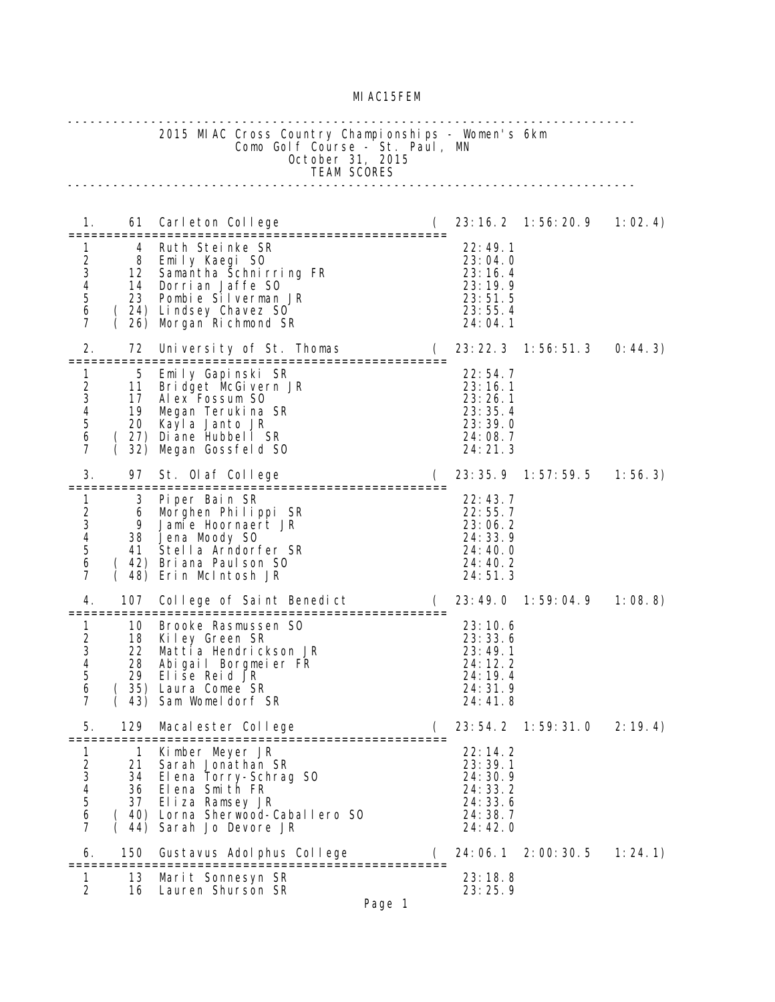## MIAC15FEM

|                                                                                                     |                            | 2015 MIAC Cross Country Championships - Women's 6km<br>Como Golf Course - St. Paul, MN<br>October 31, 2015<br>TEAM SCORES                                                     |          |                                                                                 |                         |          |
|-----------------------------------------------------------------------------------------------------|----------------------------|-------------------------------------------------------------------------------------------------------------------------------------------------------------------------------|----------|---------------------------------------------------------------------------------|-------------------------|----------|
| 1.                                                                                                  | 61                         | Carleton College Carleton College                                                                                                                                             | $\left($ |                                                                                 |                         | 1:02.4   |
| 1<br>$\frac{1}{2}$<br>$\frac{3}{4}$<br>5<br>6<br>$\overline{7}$                                     | 4                          | Ruth Steinke SR<br>8 Emily Kaegi SO<br>12 Samantha Schnirring FR<br>14 Dorrian Jaffe SO<br>23 Pombie Silverman JR<br>(24) Lindsey Chavez S0<br>26) Morgan Richmond SR         |          | 22:49.1<br>23:04.0<br>23:16.4<br>23:19.9<br>23:51.5<br>23:55.4<br>24:04.1       |                         |          |
| 2.                                                                                                  | 72<br>============         | University of St. Thomas (<br>$=$ = = = = = = =<br>===============                                                                                                            |          |                                                                                 | 23: 22. 3 1: 56: 51. 3  | 0: 44.3) |
| $\mathbf{1}$<br>$\begin{array}{c} 2 \\ 3 \\ 4 \end{array}$<br>$\overline{5}$<br>6<br>$\overline{7}$ | 5<br>11<br>32)<br>(        | Emily Gapinski SR<br>Bridget McGivern JR<br>17 Alex Fossum SO<br>19 Megan Terukina SR<br>20 Kayla Janto JR<br>(27) Di ane Hubbel I SR<br>Megan Gossfeld SO                    |          | 22:54.7<br>23:16.1<br>23:26.1<br>23:35.4<br>23:39.0<br>24:08.7<br>24:21.3       |                         |          |
| 3.                                                                                                  | 97                         | St. Olaf College                                                                                                                                                              |          |                                                                                 | 23: 35. 9 1: 57: 59. 5  | 1:56.3   |
| $1 \quad$<br>$\frac{2}{3}$<br>$\overline{\mathcal{A}}$<br>5<br>6<br>7                               | 9<br>41                    | 3 Piper Bain SR<br>6 Morghen Philippi SR<br>Jamie Hoornaert JR<br>38 Jena Moody S0<br>Stella Arndorfer SR<br>42) Briana Paulson SO<br>48) Erin McIntosh JR                    |          | 22:43.7<br>22:55.7<br>23:06.2<br>24:33.9<br>24:40.0<br>24:40.2<br>24:51.3       |                         |          |
| 4.                                                                                                  | 107                        | College of Saint Benedict (                                                                                                                                                   |          |                                                                                 | 23:49.0 1:59:04.9       | 1:08.8   |
| 1<br>$\overline{a}$<br>3<br>4<br>5<br>6<br>$\overline{7}$                                           | 10<br>18<br>22<br>28<br>29 | Brooke Rasmussen SO<br>Kiley Green SR<br>Mattia Hendrickson JR<br>Abigail Borgmeier FR<br>Elise Reid JR<br>35) Laura Comee SR<br>43) Sam Womeldorf SR                         |          | 23:10.6<br>23:33.6<br>23:49.1<br>24:12.2<br>24:19.4<br>24:31.9<br>24:41.8       |                         |          |
| 5.                                                                                                  | 129                        | Macalester College                                                                                                                                                            |          |                                                                                 | 23: 54. 2  1: 59: 31. 0 | 2:19.4   |
| 1<br>23456<br>$\overline{7}$                                                                        | 21                         | 1 Kimber Meyer JR<br>Sarah Jonathan SR<br>34 Elena Torry-Schrag SO<br>36 Elena Smith FR<br>37 Eliza Ramsey JR<br>( 40) Lorna Sherwood-Caballero SO<br>(44) Sarah Jo Devore JR |          | 22:14.2<br>23:39.1<br>24: 30. 9<br>24: 33. 2<br>24:33.6<br>24: 38. 7<br>24:42.0 |                         |          |
| 6.                                                                                                  | 150                        | Gustavus Adolphus College                                                                                                                                                     |          |                                                                                 | 24: 06. 1 2: 00: 30. 5  | 1:24.1   |
| 1<br>2                                                                                              | 13<br>16                   | Marit Sonnesyn SR<br>Lauren Shurson SR                                                                                                                                        |          | 23:18.8<br>23:25.9                                                              |                         |          |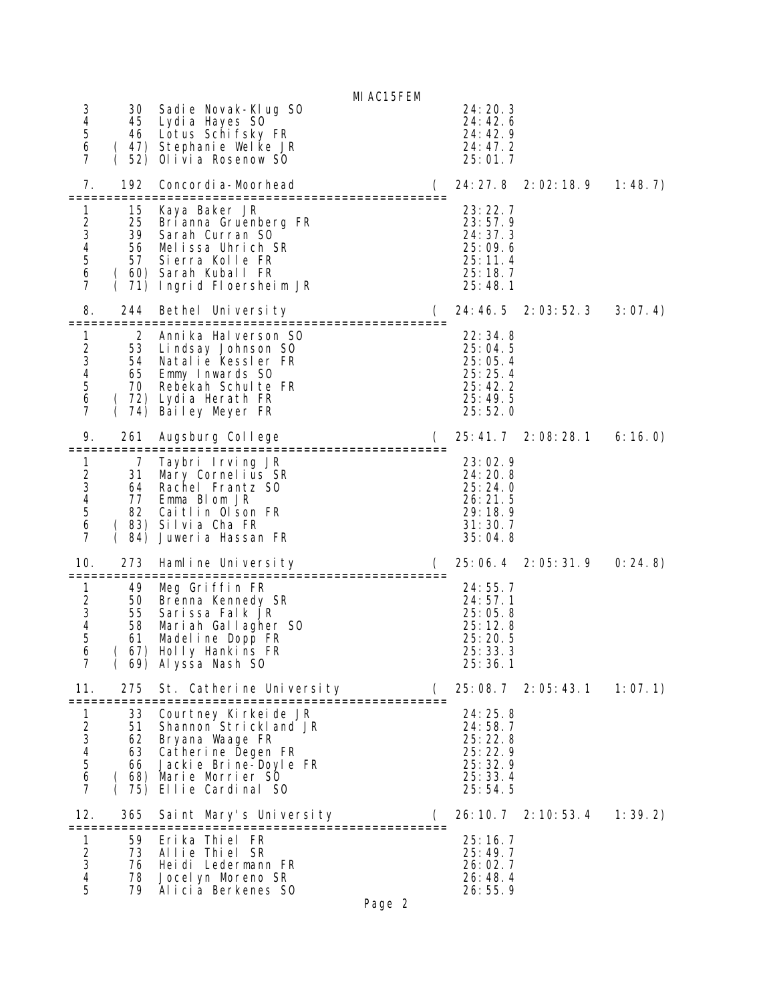MIAC15FEM

| 3<br>4<br>$\mathbf 5$<br>6<br>7                                                                            | 30<br>45<br>46                    | Sadie Novak-Klug S0<br>Lydi a Hayes S0<br>Lotus Schifsky FR<br>(47) Stephanie Welke JR<br>52) Olivia Rosenow SO                                                                                  |                    |          | 24: 20. 3<br>24:42.6<br>24: 42. 9<br>24:47.2<br>25:01.7                   |              |         |
|------------------------------------------------------------------------------------------------------------|-----------------------------------|--------------------------------------------------------------------------------------------------------------------------------------------------------------------------------------------------|--------------------|----------|---------------------------------------------------------------------------|--------------|---------|
| 7.                                                                                                         | 192                               | Concordi a-Moorhead<br>:=============                                                                                                                                                            |                    | $\left($ | 24: 27. 8 2: 02: 18. 9                                                    |              | 1: 48.7 |
| 1<br>23456<br>$\overline{7}$                                                                               | 15<br>56                          | Kaya Baker JR<br>25 Bri anna Gruenberg FR<br>39 Sarah Curran S0<br>Melissa Uhrich SR<br>57 Sierra Kolle FR<br>ان اللہ عليہ ہے ۔<br>( 60) Sarah Kuball FR ( 71) Indrid Fl<br>Ingrid Floersheim JR |                    |          | 23:22.7<br>23:57.9<br>24:37.3<br>25:09.6<br>25:11.4<br>25:18.7<br>25:48.1 |              |         |
| 8.                                                                                                         | 244                               | Bethel University                                                                                                                                                                                |                    |          | 24: 46. 5                                                                 | 2:03:52.3    | 3:07.4  |
| 1<br>$\begin{array}{c} 2 \\ 3 \\ 4 \end{array}$<br>$\begin{array}{c} 5 \\ 6 \end{array}$<br>$\overline{7}$ | 2<br>53<br>54<br>70.              | Anni ka Hal verson SO<br>Lindsay Johnson SO<br>Natalie Kessler FR<br>65 Emmy Inwards SO<br>Rebekah Schulte FR<br>(72) Lydia Herath FR<br>(74) Bailey Meyer FR                                    |                    |          | 22:34.8<br>25:04.5<br>25:05.4<br>25:25.4<br>25:42.2<br>25:49.5<br>25:52.0 |              |         |
| 9.                                                                                                         | 261<br>=============              | Augsburg College<br>-====================================                                                                                                                                        |                    | $\left($ | 25: 41. 7 2: 08: 28. 1                                                    |              | 6:16.0  |
| 1<br>$\boldsymbol{2}$<br>$\frac{3}{4}$<br>$\overline{5}$<br>6<br>$\overline{7}$                            | 7<br>31<br>77<br>84)              | Taybri Irving JR<br>Mary Cornelius SR<br>64 Rachel Frantz SO<br>Emma Blom JR<br>82 Caitlin Olson FR<br>(83) Silvia Cha FR<br>Juweria Hassan FR                                                   |                    |          | 23:02.9<br>24:20.8<br>25:24.0<br>26:21.5<br>29:18.9<br>31:30.7<br>35:04.8 |              |         |
| 10.                                                                                                        | 273                               | Hamline University<br>=============                                                                                                                                                              | =================  | $\left($ | 25:06.4                                                                   | 2: 05: 31. 9 | 0: 24.8 |
| $\mathbf{1}$<br>$\overline{c}$<br>$\frac{1}{3}$<br>5<br>6<br>$\overline{7}$                                | 49<br>55<br>61<br>67)<br>69)      | Meg Griffin FR<br>50 Brenna Kennedy SR<br>Sarissa Falk JR<br>58 Mariah Gallagher SO<br>Madeline Dopp FR<br>Holly Hankins FR<br>Al yssa Nash SO                                                   |                    |          | 24:55.7<br>24:57.1<br>25:05.8<br>25:12.8<br>25:20.5<br>25:33.3<br>25:36.1 |              |         |
| 11.<br>==========                                                                                          | 275                               | St. Catherine University                                                                                                                                                                         |                    |          | 25:08.7 2:05:43.1                                                         |              | 1:07.1  |
| 1<br>$\mathbf 2$<br>$\frac{3}{4}$<br>5<br>6<br>7                                                           | 33<br>51<br>62<br>63<br>66<br>75) | Courtney Kirkeide JR<br>Shannon Strickland JR<br>Bryana Waage FR<br>Catherine Degen FR<br>Jackie Brine-Doyle FR<br>( 68) Marie Morrier SO<br>Ellie Cardinal SO                                   |                    |          | 24:25.8<br>24:58.7<br>25:22.8<br>25:22.9<br>25:32.9<br>25:33.4<br>25:54.5 |              |         |
| 12.                                                                                                        | 365                               | Saint Mary's University                                                                                                                                                                          | :================= | €        | 26: 10. 7                                                                 | 2: 10: 53. 4 | 1:39.2  |
| 1<br>$\frac{2}{3}$<br>$\overline{4}$<br>5                                                                  | 59<br>73<br>76<br>78<br>79        | Erika Thiel FR<br>Allie Thiel SR<br>Heidi Ledermann FR<br>Jocel yn Moreno SR<br>Alicia Berkenes SO                                                                                               | Page 2             |          | 25:16.7<br>25:49.7<br>26: 02. 7<br>26:48.4<br>26:55.9                     |              |         |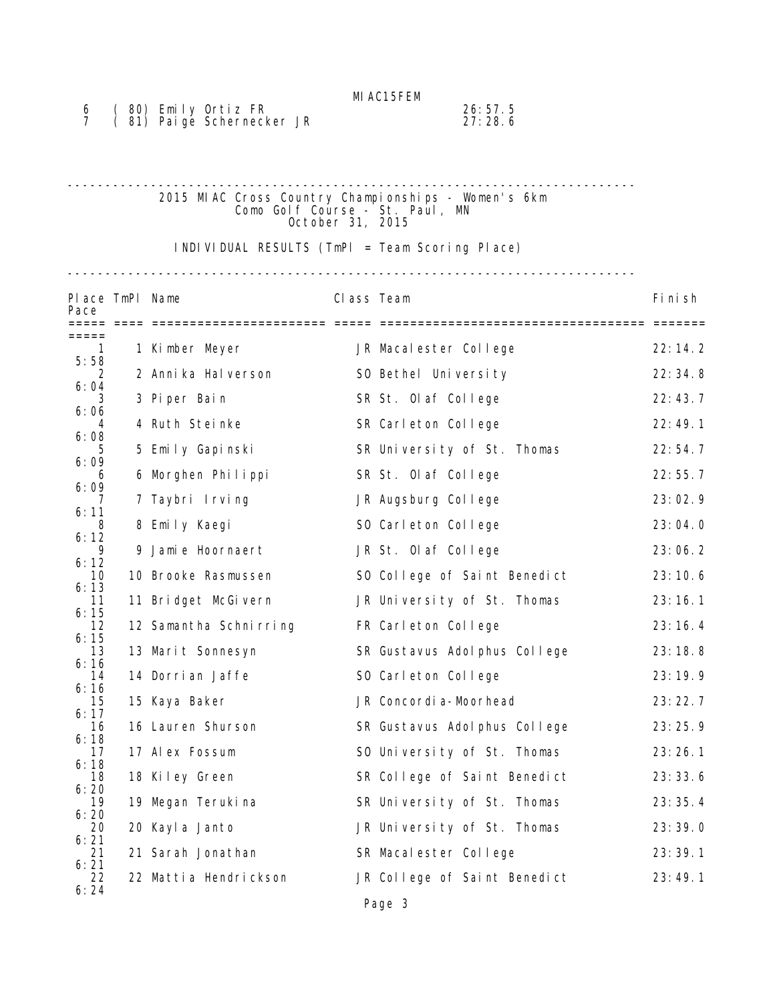| (80) Emily Ortiz FR        | 26:57.5 |
|----------------------------|---------|
| (81) Pai ge Schernecker JR | 27:28.6 |

## --------------------------------------------------------------------------- 2015 MIAC Cross Country Championships - Women's 6km Como Golf Course - St. Paul, MN October 31, 2015

INDIVIDUAL RESULTS (TmPl = Team Scoring Place)

---------------------------------------------------------------------------

| Place TmPl Name<br>Pace |                        | Class Team |                               | Fi ni sh |
|-------------------------|------------------------|------------|-------------------------------|----------|
| ===== ====<br>=====     |                        |            |                               |          |
| 1<br>5:58               | 1 Kimber Meyer         |            | JR Macalester College         | 22:14.2  |
| 2                       | 2 Anni ka Hal verson   |            | SO Bethel University          | 22:34.8  |
| 6:04<br>3               | 3 Piper Bain           |            | SR St. Olaf College           | 22:43.7  |
| 6:06<br>6:08            | 4 Ruth Steinke         |            | SR Carleton College           | 22:49.1  |
| 6:09                    | 5 Emily Gapinski       |            | SR University of St. Thomas   | 22:54.7  |
| 6<br>6:09               | 6 Morghen Philippi     |            | SR St. Olaf College           | 22:55.7  |
| 6:11                    | 7 Taybri Irving        |            | JR Augsburg College           | 23:02.9  |
| 8<br>6:12               | 8 Emily Kaegi          |            | SO Carleton College           | 23:04.0  |
| 9<br>6:12               | 9 Jamie Hoornaert      |            | JR St. Olaf College           | 23:06.2  |
| 10<br>6:13              | 10 Brooke Rasmussen    |            | SO College of Saint Benedict  | 23:10.6  |
| 11<br>6:15              | 11 Bridget McGivern    |            | JR University of St. Thomas   | 23:16.1  |
| 12<br>6:15              | 12 Samantha Schnirring |            | FR Carleton College           | 23:16.4  |
| 13<br>6:16              | 13 Marit Sonnesyn      |            | SR Gustavus Adol phus College | 23:18.8  |
| 14<br>6:16              | 14 Dorri an Jaffe      |            | SO Carleton College           | 23:19.9  |
| 15<br>6:17              | 15 Kaya Baker          |            | JR Concordi a-Moorhead        | 23:22.7  |
| 16<br>6:18              | 16 Lauren Shurson      |            | SR Gustavus Adol phus College | 23:25.9  |
| 17<br>6:18              | 17 Alex Fossum         |            | SO University of St. Thomas   | 23:26.1  |
| 18<br>6:20              | 18 Kiley Green         |            | SR College of Saint Benedict  | 23:33.6  |
| 19                      | 19 Megan Terukina      |            | SR University of St. Thomas   | 23:35.4  |
| 6:20<br>20              | 20 Kayl a Janto        |            | JR University of St. Thomas   | 23:39.0  |
| 6:21<br>21<br>6:21      | 21 Sarah Jonathan      |            | SR Macalester College         | 23:39.1  |
| 22<br>6:24              | 22 Mattia Hendrickson  |            | JR College of Saint Benedict  | 23:49.1  |
|                         |                        |            | Page 3                        |          |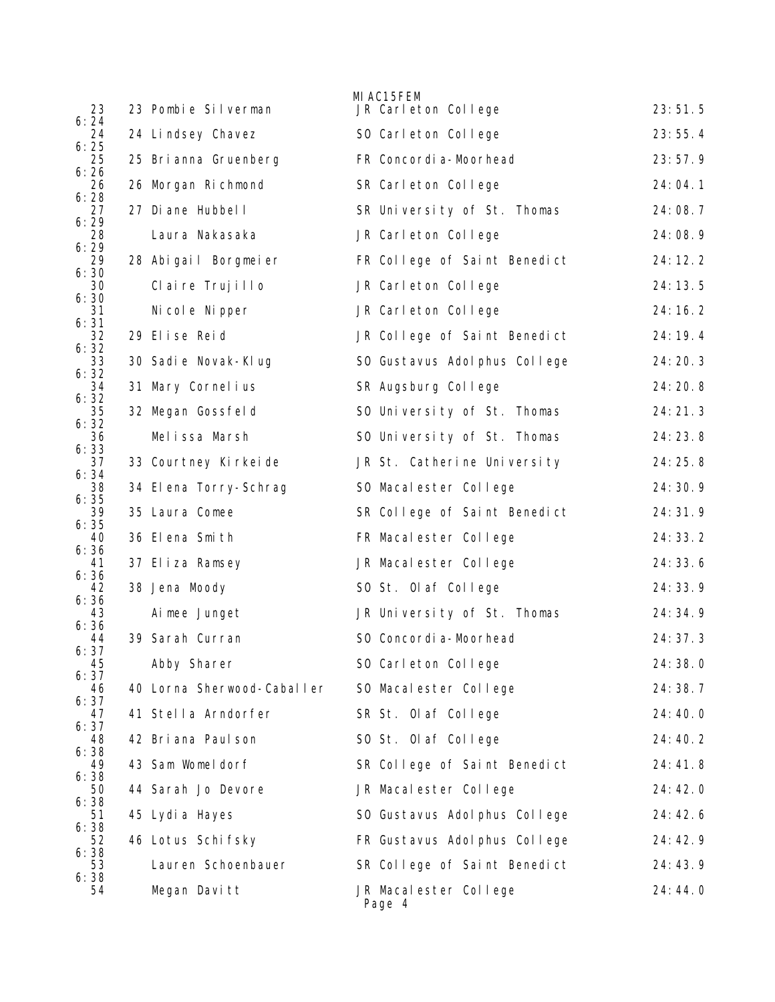| 23                 | 23 Pombie Silverman        | MI AC15FEM<br>JR Carleton College | 23:51.5   |
|--------------------|----------------------------|-----------------------------------|-----------|
| 6:24<br>24         | 24 Lindsey Chavez          | SO Carleton College               | 23:55.4   |
| 6:25<br>25         | 25 Bri anna Gruenberg      | FR Concordi a-Moorhead            | 23:57.9   |
| 6:26<br>26         | 26 Morgan Richmond         | SR Carleton College               | 24:04.1   |
| 6:28<br>27         | 27 Di ane Hubbel I         | SR University of St. Thomas       | 24:08.7   |
| 6:29<br>28         | Laura Nakasaka             | JR Carleton College               | 24:08.9   |
| 6:29<br>29         | 28 Abigail Borgmeier       | FR College of Saint Benedict      | 24:12.2   |
| 6:30<br>30<br>6:30 | Claire Trujillo            | JR Carleton College               | 24:13.5   |
| 31<br>6:31         | Ni col e Ni pper           | JR Carleton College               | 24:16.2   |
| 32<br>6:32         | 29 Elise Reid              | JR College of Saint Benedict      | 24:19.4   |
| 33<br>6:32         | 30 Sadi e Novak-KI ug      | SO Gustavus Adol phus College     | 24:20.3   |
| 34<br>6:32         | 31 Mary Cornel ius         | SR Augsburg College               | 24: 20.8  |
| 35<br>6:32         | 32 Megan Gossfeld          | SO University of St. Thomas       | 24:21.3   |
| 36<br>6:33         | Melissa Marsh              | SO University of St. Thomas       | 24:23.8   |
| 37<br>6:34         | 33 Courtney Kirkeide       | JR St. Catherine University       | 24:25.8   |
| 38<br>6:35         | 34 Elena Torry-Schrag      | SO Macalester College             | 24: 30. 9 |
| 39<br>6:35         | 35 Laura Comee             | SR College of Saint Benedict      | 24: 31.9  |
| 40<br>6:36         | 36 Elena Smith             | FR Macalester College             | 24: 33. 2 |
| 41<br>6:36         | 37 Eliza Ramsey            | JR Macalester College             | 24: 33. 6 |
| 42<br>6:36         | 38 Jena Moody              | SO St. Olaf College               | 24: 33. 9 |
| 43<br>6:36         | Ai mee Junget              | JR University of St. Thomas       | 24: 34. 9 |
| 44<br>6:37         | 39 Sarah Curran            | SO Concordi a-Moorhead            | 24:37.3   |
| 45<br>6:37         | Abby Sharer                | SO Carleton College               | 24:38.0   |
| 46<br>6:37         | 40 Lorna Sherwood-Caballer | SO Macalester College             | 24:38.7   |
| 47<br>6:37         | 41 Stella Arndorfer        | SR St. Olaf College               | 24:40.0   |
| 48<br>6:38         | 42 Bri ana Paul son        | SO St. Olaf College               | 24:40.2   |
| 49<br>6:38         | 43 Sam Womeldorf           | SR College of Saint Benedict      | 24:41.8   |
| 50<br>6:38         | 44 Sarah Jo Devore         | JR Macalester College             | 24:42.0   |
| 51<br>6:38         | 45 Lydia Hayes             | SO Gustavus Adol phus College     | 24:42.6   |
| 52<br>6:38         | 46 Lotus Schifsky          | FR Gustavus Adol phus College     | 24: 42. 9 |
| 53<br>6:38         | Lauren Schoenbauer         | SR College of Saint Benedict      | 24:43.9   |
| 54                 | Megan Davitt               | JR Macalester College<br>Page 4   | 24:44.0   |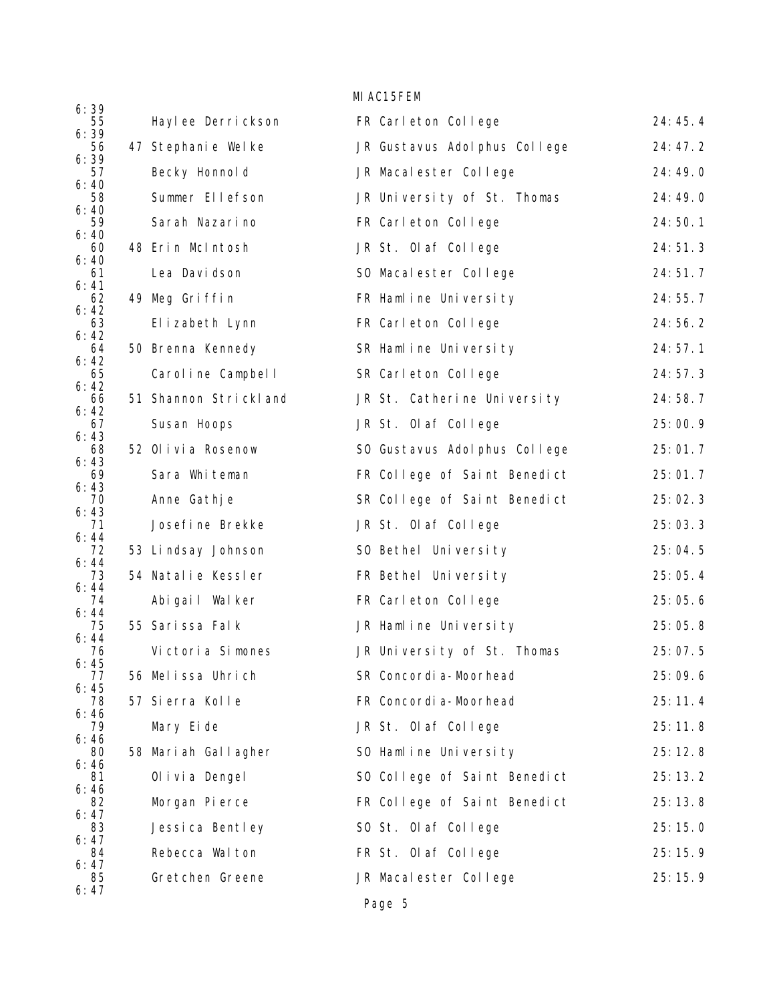|                    |                       | MI AC15FEM                    |         |
|--------------------|-----------------------|-------------------------------|---------|
| 6:39<br>55         | Haylee Derrickson     | FR Carleton College           | 24:45.4 |
| 6:39<br>56         | 47 Stephanie Welke    | JR Gustavus Adol phus College | 24:47.2 |
| 6:39<br>57<br>6:40 | Becky Honnol d        | JR Macalester College         | 24:49.0 |
| 58<br>6:40         | Summer Ellefson       | JR University of St. Thomas   | 24:49.0 |
| 59                 | Sarah Nazarino        | FR Carleton College           | 24:50.1 |
| 6:40<br>60<br>6:40 | 48 Erin McIntosh      | JR St. Olaf College           | 24:51.3 |
| 61<br>6:41         | Lea Davidson          | SO Macalester College         | 24:51.7 |
| 62<br>6:42         | 49 Meg Griffin        | FR Hamline University         | 24:55.7 |
| 63<br>6:42         | Elizabeth Lynn        | FR Carleton College           | 24:56.2 |
| 64<br>6:42         | 50 Brenna Kennedy     | SR Hamline University         | 24:57.1 |
| 65<br>6:42         | Caroline Campbell     | SR Carleton College           | 24:57.3 |
| 66<br>6:42         | 51 Shannon Strickland | JR St. Catherine University   | 24:58.7 |
| 67<br>6:43         | Susan Hoops           | JR St. Olaf College           | 25:00.9 |
| 68<br>6:43         | 52 Olivia Rosenow     | SO Gustavus Adol phus College | 25:01.7 |
| 69<br>6:43         | Sara Whiteman         | FR College of Saint Benedict  | 25:01.7 |
| 70<br>6:43         | Anne Gathje           | SR College of Saint Benedict  | 25:02.3 |
| 71<br>6:44         | Josefine Brekke       | JR St. Olaf College           | 25:03.3 |
| 72<br>6:44         | 53 Lindsay Johnson    | SO Bethel University          | 25:04.5 |
| 73<br>6:44         | 54 Natalie Kessler    | FR Bethel University          | 25:05.4 |
| 74<br>6:44         | Abigail Walker        | FR Carleton College           | 25:05.6 |
| 75<br>6:44         | 55 Sarissa Falk       | JR Hamline University         | 25:05.8 |
| 76<br>6:45         | Victoria Simones      | JR University of St. Thomas   | 25:07.5 |
| 77<br>6:45         | 56 Melissa Uhrich     | SR Concordi a-Moorhead        | 25:09.6 |
| 78<br>6:46         | 57 Sierra Kolle       | FR Concordi a-Moorhead        | 25:11.4 |
| 79<br>6:46         | Mary Eide             | JR St. Olaf College           | 25:11.8 |
| 80<br>6:46         | 58 Mariah Gallagher   | SO Hamline University         | 25:12.8 |
| 81<br>6:46         | Ol i vi a Dengel      | SO College of Saint Benedict  | 25:13.2 |
| 82<br>6:47         | Morgan Pierce         | FR College of Saint Benedict  | 25:13.8 |
| 83<br>6:47         | Jessica Bentley       | SO St. Olaf College           | 25:15.0 |
| 84<br>6:47         | Rebecca Walton        | FR St. Olaf College           | 25:15.9 |
| 85<br>6:47         | Gretchen Greene       | JR Macalester College         | 25:15.9 |
|                    |                       | Page 5                        |         |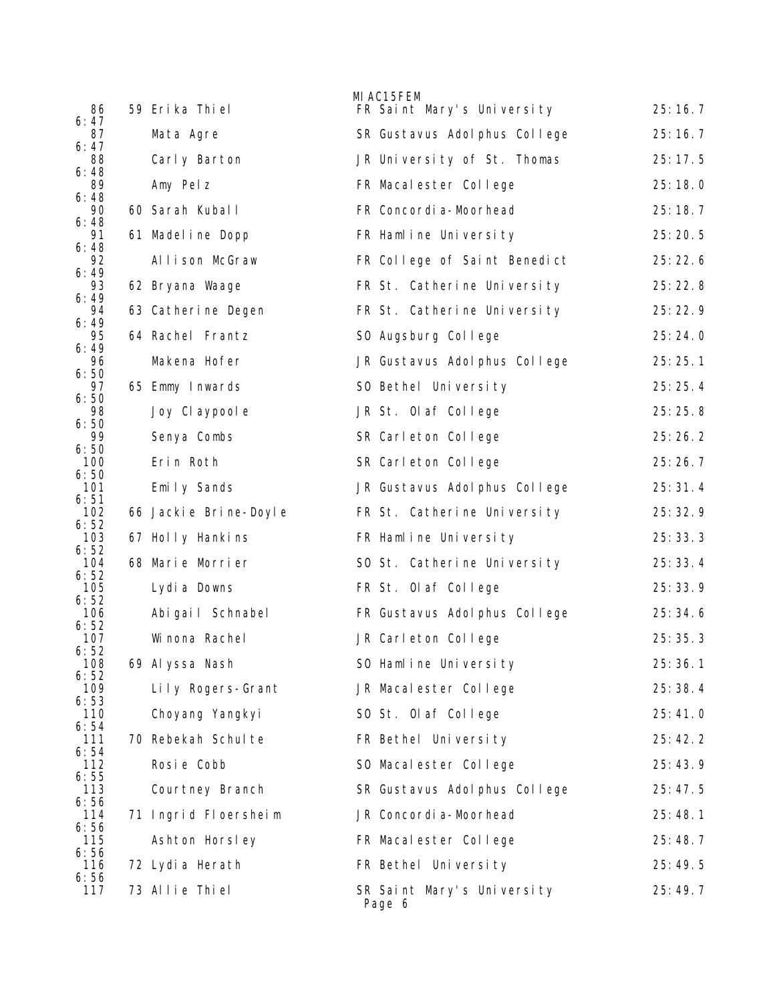| 86                  | 59 Erika Thiel        | MI AC15FEM | FR Saint Mary's University    | 25:16.7 |
|---------------------|-----------------------|------------|-------------------------------|---------|
| 6:47<br>87          | Mata Agre             |            | SR Gustavus Adol phus College | 25:16.7 |
| 6:47<br>88          | Carly Barton          |            | JR University of St. Thomas   | 25:17.5 |
| 6:48<br>89          | Amy Pelz              |            | FR Macalester College         | 25:18.0 |
| 6:48<br>90          | 60 Sarah Kuball       |            | FR Concordi a-Moorhead        | 25:18.7 |
| 6:48<br>91          | 61 Madel i ne Dopp    |            | FR Hamline University         | 25:20.5 |
| 6:48<br>92          | Allison McGraw        |            | FR College of Saint Benedict  | 25:22.6 |
| 6:49<br>93          | 62 Bryana Waage       |            | FR St. Catherine University   | 25:22.8 |
| 6:49<br>94          | 63 Catherine Degen    |            | FR St. Catherine University   | 25:22.9 |
| 6:49<br>95          | 64 Rachel Frantz      |            | SO Augsburg College           | 25:24.0 |
| 6:49<br>96          | Makena Hofer          |            | JR Gustavus Adol phus College | 25:25.1 |
| 6:50<br>97<br>6:50  | 65 Emmy Inwards       |            | SO Bethel University          | 25:25.4 |
| 98                  | Joy Cl aypool e       |            | JR St. Olaf College           | 25:25.8 |
| 6:50<br>99          | Senya Combs           |            | SR Carleton College           | 25:26.2 |
| 6:50<br>100         | Erin Roth             |            | SR Carleton College           | 25:26.7 |
| 6:50<br>101         | Emily Sands           |            | JR Gustavus Adol phus College | 25:31.4 |
| 6:51<br>102<br>6:52 | 66 Jackie Brine-Doyle |            | FR St. Catherine University   | 25:32.9 |
| 103<br>6:52         | 67 Holly Hankins      |            | FR Hamline University         | 25:33.3 |
| 104<br>6:52         | 68 Marie Morrier      |            | SO St. Catherine University   | 25:33.4 |
| 105<br>6:52         | Lydi a Downs          |            | FR St. Olaf College           | 25:33.9 |
| 106<br>6:52         | Abigail Schnabel      |            | FR Gustavus Adol phus College | 25:34.6 |
| 107<br>6:52         | Wi nona Rachel        |            | JR Carleton College           | 25:35.3 |
| 108<br>6:52         | 69 Al yssa Nash       |            | SO Hamline University         | 25:36.1 |
| 109<br>6:53         | Lily Rogers-Grant     |            | JR Macalester College         | 25:38.4 |
| 110<br>6:54         | Choyang Yangkyi       |            | SO St. Olaf College           | 25:41.0 |
| 111<br>6:54         | 70 Rebekah Schul te   |            | FR Bethel University          | 25:42.2 |
| 112<br>6:55         | Rosie Cobb            |            | SO Macalester College         | 25:43.9 |
| 113<br>6:56         | Courtney Branch       |            | SR Gustavus Adol phus College | 25:47.5 |
| 114<br>6:56         | 71 Ingrid Floersheim  |            | JR Concordi a-Moorhead        | 25:48.1 |
| 115<br>6:56         | Ashton Horsley        |            | FR Macalester College         | 25:48.7 |
| 116<br>6:56         | 72 Lydia Herath       |            | FR Bethel University          | 25:49.5 |
| 117                 | 73 Allie Thiel        | Page 6     | SR Saint Mary's University    | 25:49.7 |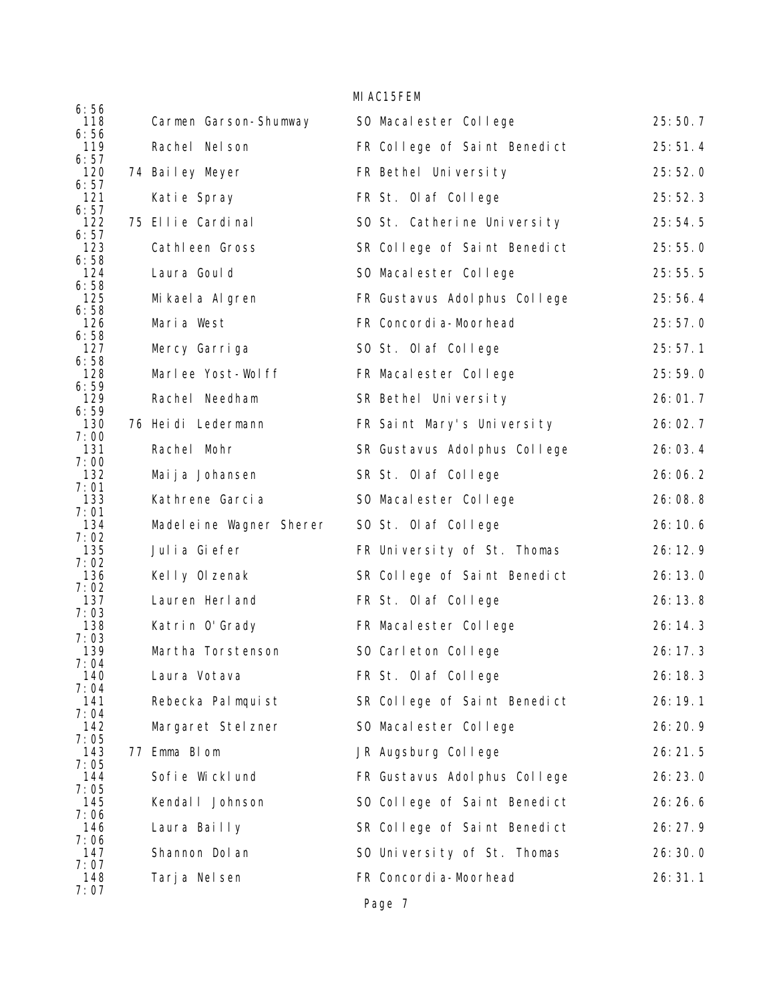|                     |                          | MI AC15FEM                    |         |
|---------------------|--------------------------|-------------------------------|---------|
| 6:56<br>118         | Carmen Garson-Shumway    | SO Macalester College         | 25:50.7 |
| 6:56<br>119         | Rachel Nel son           | FR College of Saint Benedict  | 25:51.4 |
| 6:57<br>120         | 74 Bailey Meyer          | FR Bethel University          | 25:52.0 |
| 6:57<br>121         | Katie Spray              | FR St. Olaf College           | 25:52.3 |
| 6:57<br>122<br>6:57 | 75 Ellie Cardinal        | SO St. Catherine University   | 25:54.5 |
| 123<br>6:58         | Cathleen Gross           | SR College of Saint Benedict  | 25:55.0 |
| 124<br>6:58         | Laura Goul d             | SO Macalester College         | 25:55.5 |
| 125<br>6:58         | Mi kael a Al gren        | FR Gustavus Adol phus College | 25:56.4 |
| 126<br>6:58         | Maria West               | FR Concordi a-Moorhead        | 25:57.0 |
| 127<br>6:58         | Mercy Garriga            | SO St. Olaf College           | 25:57.1 |
| 128<br>6:59         | Marlee Yost-Wolff        | FR Macalester College         | 25:59.0 |
| 129<br>6:59         | Rachel Needham           | SR Bethel University          | 26:01.7 |
| 130<br>7:00         | 76 Heidi Ledermann       | FR Saint Mary's University    | 26:02.7 |
| 131<br>7:00         | Rachel Mohr              | SR Gustavus Adol phus College | 26:03.4 |
| 132<br>7:01         | Maija Johansen           | SR St. Olaf College           | 26:06.2 |
| 133<br>7:01         | Kathrene Garcia          | SO Macalester College         | 26:08.8 |
| 134<br>7:02         | Madel eine Wagner Sherer | SO St. Olaf College           | 26:10.6 |
| 135<br>7:02         | Julia Giefer             | FR University of St. Thomas   | 26:12.9 |
| 136<br>7:02         | Kelly Olzenak            | SR College of Saint Benedict  | 26:13.0 |
| 137<br>7:03         | Lauren Herl and          | FR St. Olaf College           | 26:13.8 |
| 138<br>7:03         | Katrin O'Grady           | FR Macalester College         | 26:14.3 |
| 139<br>7:04         | Martha Torstenson        | SO Carleton College           | 26:17.3 |
| 140<br>7:04         | Laura Votava             | FR St. Olaf College           | 26:18.3 |
| 141<br>7:04         | Rebecka Palmquist        | SR College of Saint Benedict  | 26:19.1 |
| 142<br>7:05         | Margaret Stel zner       | SO Macalester College         | 26:20.9 |
| 143<br>7:05         | 77 Emma Blom             | JR Augsburg College           | 26:21.5 |
| 144<br>7:05         | Sofie Wicklund           | FR Gustavus Adol phus College | 26:23.0 |
| 145<br>7:06         | Kendal I Johnson         | SO College of Saint Benedict  | 26:26.6 |
| 146<br>7:06         | Laura Bailly             | SR College of Saint Benedict  | 26:27.9 |
| 147<br>7:07         | Shannon Dol an           | SO University of St. Thomas   | 26:30.0 |
| 148<br>7:07         | Tarja Nelsen             | FR Concordi a-Moorhead        | 26:31.1 |
|                     |                          | Page 7                        |         |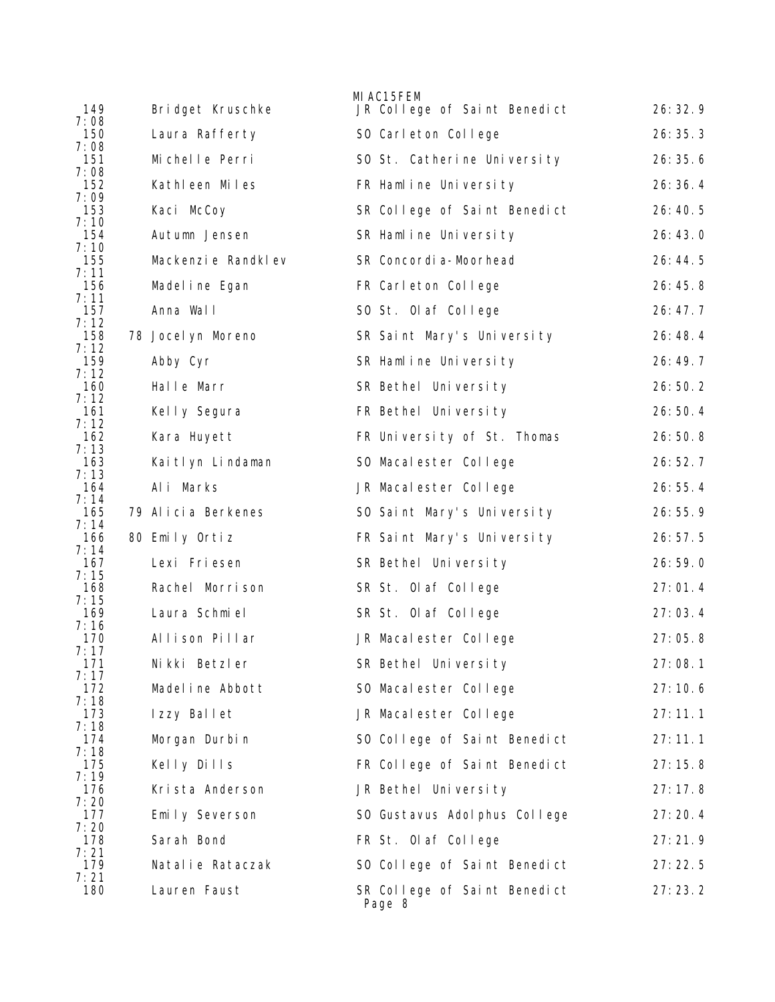| 149                                       | Bridget Kruschke     | MI AC15FEM<br>JR College of Saint Benedict | 26:32.9 |
|-------------------------------------------|----------------------|--------------------------------------------|---------|
| 7:08<br>150                               | Laura Rafferty       | SO Carleton College                        | 26:35.3 |
| 7:08<br>151                               | Michelle Perri       | SO St. Catherine University                | 26:35.6 |
| 7:08<br>152                               | Kathleen Miles       | FR Hamline University                      | 26:36.4 |
| 7:09<br>153                               | Kaci McCoy           | SR College of Saint Benedict               | 26:40.5 |
| 7:10<br>154                               | Autumn Jensen        | SR Hamline University                      | 26:43.0 |
| 7:10<br>155                               | Mackenzi e Randkl ev | SR Concordi a-Moorhead                     | 26:44.5 |
| 7:11<br>156                               | Madel i ne Egan      | FR Carleton College                        | 26:45.8 |
| 7:11<br>157                               | Anna Wall            | SO St. Olaf College                        | 26:47.7 |
| 7:12<br>158                               | 78 Jocel yn Moreno   | SR Saint Mary's University                 | 26:48.4 |
| 7:12<br>159                               | Abby Cyr             | SR Hamline University                      | 26:49.7 |
| 7:12<br>160<br>7:12                       | Halle Marr           | SR Bethel University                       | 26:50.2 |
| 161<br>7:12                               | Kelly Segura         | FR Bethel University                       | 26:50.4 |
| 162<br>7:13                               | Kara Huyett          | FR University of St. Thomas                | 26:50.8 |
| 163<br>7:13                               | Kaitlyn Lindaman     | SO Macalester College                      | 26:52.7 |
| 164<br>7:14                               | Ali Marks            | JR Macalester College                      | 26:55.4 |
| 165<br>7:14                               | 79 Alicia Berkenes   | SO Saint Mary's University                 | 26:55.9 |
| 166<br>7:14                               | 80 Emily Ortiz       | FR Saint Mary's University                 | 26:57.5 |
| 167<br>7:15                               | Lexi Friesen         | SR Bethel University                       | 26:59.0 |
| 168<br>7:15                               | Rachel Morrison      | SR St. Olaf College                        | 27:01.4 |
| 169<br>7:16                               | Laura Schmiel        | SR St. Olaf College                        | 27:03.4 |
| 170<br>7:17                               | Allison Pillar       | JR Macalester College                      | 27:05.8 |
| 171<br>7:17                               | Nikki Betzler        | SR Bethel University                       | 27:08.1 |
| 172<br>7:18                               | Madel ine Abbott     | SO Macal ester College                     | 27:10.6 |
| 173<br>7:18                               | Izzy Ballet          | JR Macalester College                      | 27:11.1 |
| 174<br>7:18                               | Morgan Durbin        | SO College of Saint Benedict               | 27:11.1 |
| 175<br>7:19<br>176<br>7:20<br>177<br>7:20 | Kelly Dills          | FR College of Saint Benedict               | 27:15.8 |
|                                           | Krista Anderson      | JR Bethel University                       | 27:17.8 |
|                                           | Emily Severson       | SO Gustavus Adol phus College              | 27:20.4 |
| 178<br>7:21                               | Sarah Bond           | FR St. Olaf College                        | 27:21.9 |
| 179<br>7:21                               | Natalie Rataczak     | SO College of Saint Benedict               | 27:22.5 |
| 180                                       | Lauren Faust         | SR College of Saint Benedict<br>Page 8     | 27:23.2 |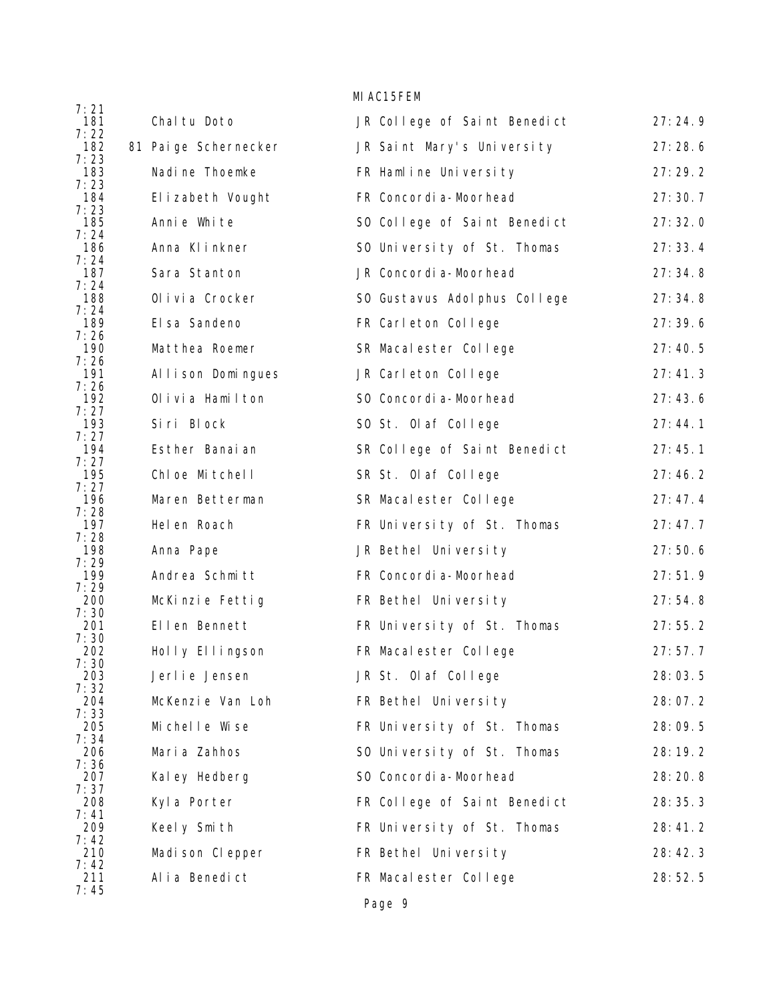|             |                       | MI AC15FEM                    |         |
|-------------|-----------------------|-------------------------------|---------|
| 7:21<br>181 | Chal tu Doto          | JR College of Saint Benedict  | 27:24.9 |
| 7:22<br>182 | 81 Pai ge Schernecker | JR Saint Mary's University    | 27:28.6 |
| 7:23<br>183 | Nadi ne Thoemke       | FR Hamline University         | 27:29.2 |
| 7:23<br>184 | El i zabeth Vought    | FR Concordi a-Moorhead        | 27:30.7 |
| 7:23<br>185 | Annie White           | SO College of Saint Benedict  | 27:32.0 |
| 7:24<br>186 | Anna KI inkner        | SO University of St. Thomas   | 27:33.4 |
| 7:24<br>187 | Sara Stanton          | JR Concordi a-Moorhead        | 27:34.8 |
| 7:24<br>188 | Olivia Crocker        | SO Gustavus Adol phus College | 27:34.8 |
| 7:24<br>189 | El sa Sandeno         | FR Carleton College           | 27:39.6 |
| 7:26<br>190 | Matthea Roemer        | SR Macalester College         | 27:40.5 |
| 7:26<br>191 | Allison Domingues     | JR Carleton College           | 27:41.3 |
| 7:26<br>192 | Olivia Hamilton       | SO Concordi a-Moorhead        | 27:43.6 |
| 7:27<br>193 | Siri Block            | SO St. Olaf College           | 27:44.1 |
| 7:27<br>194 | Esther Banaian        | SR College of Saint Benedict  | 27:45.1 |
| 7:27<br>195 | Chloe Mitchell        | SR St. Olaf College           | 27:46.2 |
| 7:27<br>196 | Maren Betterman       | SR Macalester College         | 27:47.4 |
| 7:28<br>197 | Hel en Roach          | FR University of St. Thomas   | 27:47.7 |
| 7:28<br>198 | Anna Pape             | JR Bethel University          | 27:50.6 |
| 7:29<br>199 | Andrea Schmitt        | FR Concordi a-Moorhead        | 27:51.9 |
| 7:29<br>200 | McKinzie Fettig       | FR Bethel University          | 27:54.8 |
| 7:30<br>201 | Ellen Bennett         | FR University of St. Thomas   | 27:55.2 |
| 7:30<br>202 | Holly Ellingson       | FR Macalester College         | 27:57.7 |
| 7:30<br>203 | Jerlie Jensen         | JR St. Olaf College           | 28:03.5 |
| 7:32<br>204 | McKenzie Van Loh      | FR Bethel University          | 28:07.2 |
| 7:33<br>205 | Michelle Wise         | FR University of St. Thomas   | 28:09.5 |
| 7:34<br>206 | Maria Zahhos          | SO University of St. Thomas   | 28:19.2 |
| 7:36<br>207 | Kal ey Hedberg        | SO Concordi a-Moorhead        | 28:20.8 |
| 7:37<br>208 | Kyla Porter           | FR College of Saint Benedict  | 28:35.3 |
| 7:41<br>209 | Keely Smith           | FR University of St. Thomas   | 28:41.2 |
| 7:42<br>210 | Madison Clepper       | FR Bethel University          | 28:42.3 |
| 7:42<br>211 | Alia Benedict         | FR Macalester College         | 28:52.5 |
| 7:45        |                       |                               |         |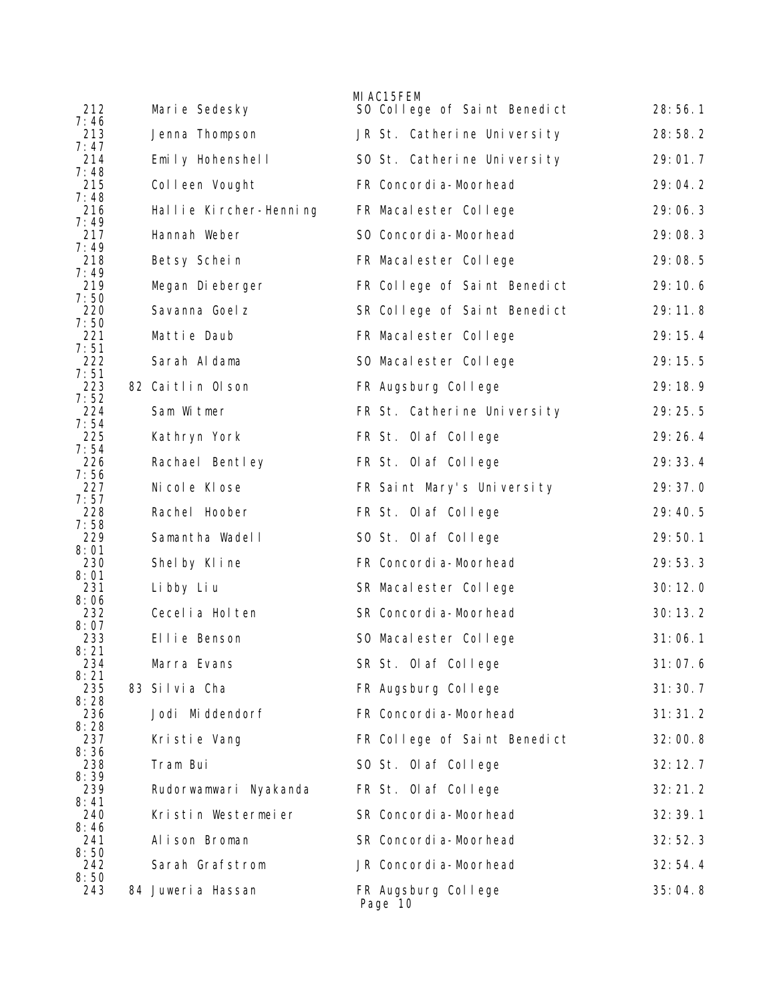|             |                        | MI AC15FEM                     |         |
|-------------|------------------------|--------------------------------|---------|
| 212<br>7:46 | Marie Sedesky          | SO College of Saint Benedict   | 28:56.1 |
| 213<br>7:47 | Jenna Thompson         | JR St. Catherine University    | 28:58.2 |
| 214<br>7:48 | Emily Hohenshell       | SO St. Catherine University    | 29:01.7 |
| 215         | Colleen Vought         | FR Concordi a-Moorhead         | 29:04.2 |
| 7:48<br>216 | Hallie Kircher-Henning | FR Macalester College          | 29:06.3 |
| 7:49<br>217 | Hannah Weber           | SO Concordi a-Moorhead         | 29:08.3 |
| 7:49<br>218 | Betsy Schein           | FR Macalester College          | 29:08.5 |
| 7:49<br>219 | Megan Dieberger        | FR College of Saint Benedict   | 29:10.6 |
| 7:50<br>220 | Savanna Goel z         | SR College of Saint Benedict   | 29:11.8 |
| 7:50<br>221 | Mattie Daub            | FR Macalester College          | 29:15.4 |
| 7:51<br>222 | Sarah Aldama           | SO Macalester College          | 29:15.5 |
| 7:51<br>223 | 82 Caitlin Olson       | FR Augsburg College            | 29:18.9 |
| 7:52<br>224 | Sam Witmer             | FR St. Catherine University    | 29:25.5 |
| 7:54<br>225 | Kathryn York           | FR St. Olaf College            | 29:26.4 |
| 7:54<br>226 | Rachael Bentley        | FR St. Olaf College            | 29:33.4 |
| 7:56<br>227 | Ni col e Kl ose        | FR Saint Mary's University     | 29:37.0 |
| 7:57<br>228 | Rachel Hoober          | FR St. Olaf College            | 29:40.5 |
| 7:58<br>229 | Samantha Wadell        | SO St. Olaf College            | 29:50.1 |
| 8:01<br>230 | Shelby Kline           | FR Concordi a-Moorhead         | 29:53.3 |
| 8:01<br>231 | Li bby Li u            | SR Macalester College          | 30:12.0 |
| 8:06<br>232 | Cecel i a Hol ten      | SR Concordi a-Moorhead         | 30:13.2 |
| 8:07<br>233 | Ellie Benson           | SO Macalester College          | 31:06.1 |
| 8:21<br>234 | Marra Evans            | SR St. Olaf College            | 31:07.6 |
| 8:21<br>235 | 83 Silvia Cha          | FR Augsburg College            | 31:30.7 |
| 8:28<br>236 | Jodi Middendorf        | FR Concordi a-Moorhead         | 31:31.2 |
| 8:28<br>237 | Kristie Vang           | FR College of Saint Benedict   | 32:00.8 |
| 8:36<br>238 | Tram Bui               | SO St. Olaf College            | 32:12.7 |
| 8:39<br>239 | Rudorwamwari Nyakanda  | FR St. Olaf College            | 32:21.2 |
| 8:41<br>240 | Kristin Westermeier    | SR Concordi a-Moorhead         | 32:39.1 |
| 8:46<br>241 | Alison Broman          | SR Concordi a-Moorhead         | 32:52.3 |
| 8:50<br>242 | Sarah Grafstrom        | JR Concordi a-Moorhead         | 32:54.4 |
| 8:50<br>243 | 84 Juweria Hassan      | FR Augsburg College<br>Page 10 | 35:04.8 |